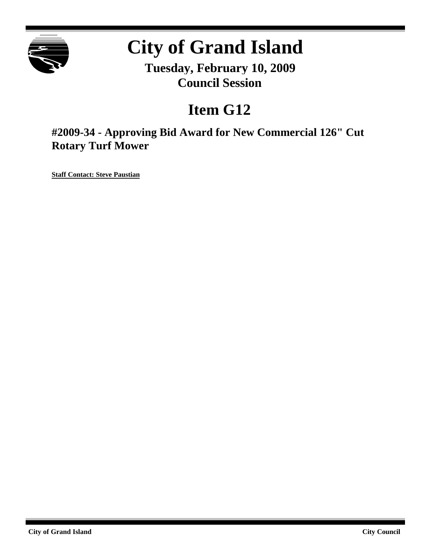

# **City of Grand Island**

**Tuesday, February 10, 2009 Council Session**

## **Item G12**

**#2009-34 - Approving Bid Award for New Commercial 126" Cut Rotary Turf Mower**

**Staff Contact: Steve Paustian**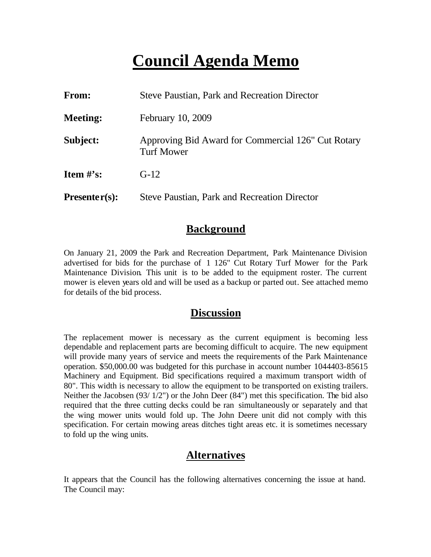## **Council Agenda Memo**

| From:                          | <b>Steve Paustian, Park and Recreation Director</b>                     |  |
|--------------------------------|-------------------------------------------------------------------------|--|
| <b>Meeting:</b>                | February 10, 2009                                                       |  |
| Subject:                       | Approving Bid Award for Commercial 126" Cut Rotary<br><b>Turf Mower</b> |  |
| <b>Item <math>\#</math>'s:</b> | $G-12$                                                                  |  |
| $Presenter(s):$                | <b>Steve Paustian, Park and Recreation Director</b>                     |  |

### **Background**

On January 21, 2009 the Park and Recreation Department, Park Maintenance Division advertised for bids for the purchase of 1 126" Cut Rotary Turf Mower for the Park Maintenance Division. This unit is to be added to the equipment roster. The current mower is eleven years old and will be used as a backup or parted out. See attached memo for details of the bid process.

#### **Discussion**

The replacement mower is necessary as the current equipment is becoming less dependable and replacement parts are becoming difficult to acquire. The new equipment will provide many years of service and meets the requirements of the Park Maintenance operation. \$50,000.00 was budgeted for this purchase in account number 1044403-85615 Machinery and Equipment. Bid specifications required a maximum transport width of 80". This width is necessary to allow the equipment to be transported on existing trailers. Neither the Jacobsen (93/ 1/2") or the John Deer (84") met this specification. The bid also required that the three cutting decks could be ran simultaneously or separately and that the wing mower units would fold up. The John Deere unit did not comply with this specification. For certain mowing areas ditches tight areas etc. it is sometimes necessary to fold up the wing units.

### **Alternatives**

It appears that the Council has the following alternatives concerning the issue at hand. The Council may: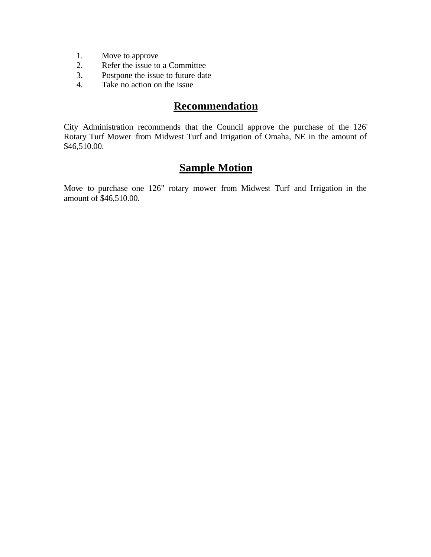- 1. Move to approve
- 2. Refer the issue to a Committee
- 3. Postpone the issue to future date
- 4. Take no action on the issue

## **Recommendation**

City Administration recommends that the Council approve the purchase of the 126' Rotary Turf Mower from Midwest Turf and Irrigation of Omaha, NE in the amount of \$46,510.00.

## **Sample Motion**

Move to purchase one 126" rotary mower from Midwest Turf and Irrigation in the amount of \$46,510.00.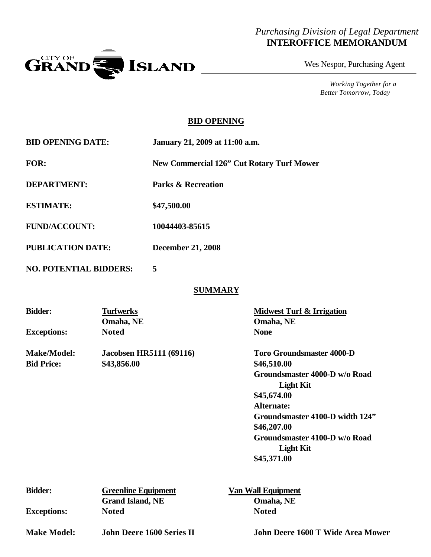#### *Purchasing Division of Legal Department* **INTEROFFICE MEMORANDUM**



Wes Nespor, Purchasing Agent

*Working Together for a Better Tomorrow, Today*

#### **BID OPENING**

| <b>BID OPENING DATE:</b> | January 21, 2009 at 11:00 a.m.            |
|--------------------------|-------------------------------------------|
| <b>FOR:</b>              | New Commercial 126" Cut Rotary Turf Mower |
| <b>DEPARTMENT:</b>       | <b>Parks &amp; Recreation</b>             |

**ESTIMATE: \$47,500.00**

**FUND/ACCOUNT: 10044403-85615**

**PUBLICATION DATE: December 21, 2008**

**NO. POTENTIAL BIDDERS: 5**

#### **SUMMARY**

| <b>Bidder:</b>     | <b>Turfwerks</b>               | <b>Midwest Turf &amp; Irrigation</b> |
|--------------------|--------------------------------|--------------------------------------|
|                    | Omaha, NE                      | Omaha, NE                            |
| <b>Exceptions:</b> | <b>Noted</b>                   | <b>None</b>                          |
| <b>Make/Model:</b> | <b>Jacobsen HR5111 (69116)</b> | <b>Toro Groundsmaster 4000-D</b>     |
| <b>Bid Price:</b>  | \$43,856.00                    | \$46,510.00                          |
|                    |                                | Groundsmaster 4000-D w/o Road        |
|                    |                                | <b>Light Kit</b>                     |
|                    |                                | \$45,674.00                          |
|                    |                                | Alternate:                           |
|                    |                                | Groundsmaster 4100-D width 124"      |
|                    |                                | \$46,207.00                          |
|                    |                                | Groundsmaster 4100-D w/o Road        |
|                    |                                | <b>Light Kit</b>                     |
|                    |                                | \$45,371.00                          |
|                    |                                |                                      |

| <b>Bidder:</b>     | <b>Greenline Equipment</b> | <b>Van Wall Equipment</b> |  |
|--------------------|----------------------------|---------------------------|--|
|                    | <b>Grand Island, NE</b>    | Omaha, NE                 |  |
| <b>Exceptions:</b> | <b>Noted</b>               | <b>Noted</b>              |  |
|                    |                            |                           |  |

**Make Model: John Deere 1600 Series II John Deere 1600 T Wide Area Mower**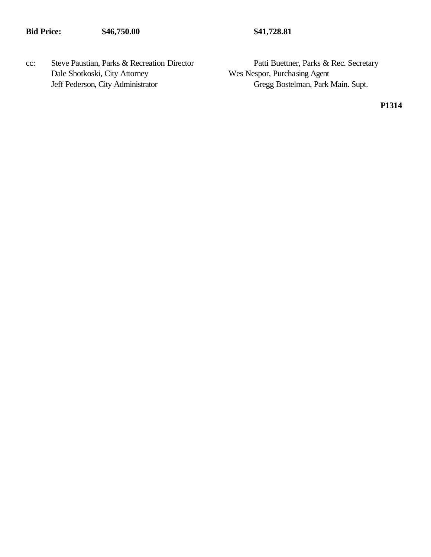cc: Steve Paustian, Parks & Recreation Director Patti Buettner, Parks & Rec. Secretary Dale Shotkoski, City Attorney Wes Nespor, Purchasing Agent

Jeff Pederson, City Administrator Gregg Bostelman, Park Main. Supt.

**P1314**